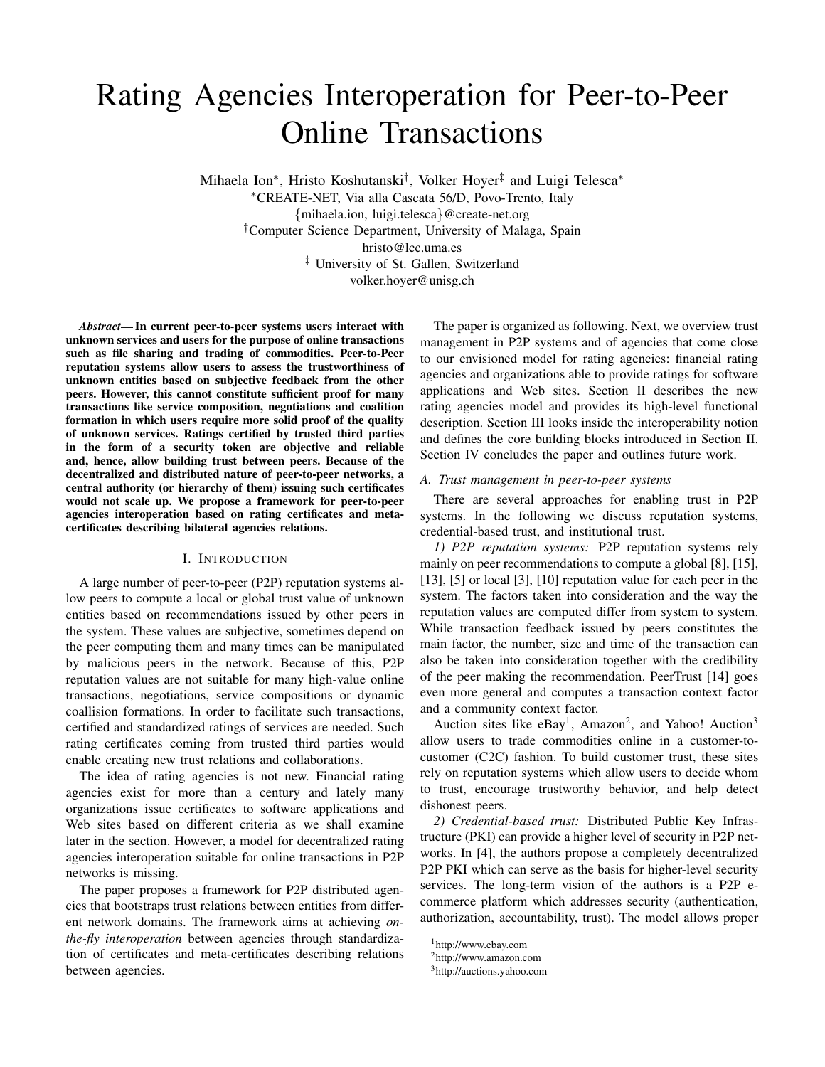# Rating Agencies Interoperation for Peer-to-Peer Online Transactions

Mihaela Ion<sup>∗</sup> , Hristo Koshutanski† , Volker Hoyer‡ and Luigi Telesca<sup>∗</sup>

<sup>∗</sup>CREATE-NET, Via alla Cascata 56/D, Povo-Trento, Italy {mihaela.ion, luigi.telesca}@create-net.org †Computer Science Department, University of Malaga, Spain hristo@lcc.uma.es ‡ University of St. Gallen, Switzerland volker.hoyer@unisg.ch

*Abstract*— In current peer-to-peer systems users interact with unknown services and users for the purpose of online transactions such as file sharing and trading of commodities. Peer-to-Peer reputation systems allow users to assess the trustworthiness of unknown entities based on subjective feedback from the other peers. However, this cannot constitute sufficient proof for many transactions like service composition, negotiations and coalition formation in which users require more solid proof of the quality of unknown services. Ratings certified by trusted third parties in the form of a security token are objective and reliable and, hence, allow building trust between peers. Because of the decentralized and distributed nature of peer-to-peer networks, a central authority (or hierarchy of them) issuing such certificates would not scale up. We propose a framework for peer-to-peer agencies interoperation based on rating certificates and metacertificates describing bilateral agencies relations.

## I. INTRODUCTION

A large number of peer-to-peer (P2P) reputation systems allow peers to compute a local or global trust value of unknown entities based on recommendations issued by other peers in the system. These values are subjective, sometimes depend on the peer computing them and many times can be manipulated by malicious peers in the network. Because of this, P2P reputation values are not suitable for many high-value online transactions, negotiations, service compositions or dynamic coallision formations. In order to facilitate such transactions, certified and standardized ratings of services are needed. Such rating certificates coming from trusted third parties would enable creating new trust relations and collaborations.

The idea of rating agencies is not new. Financial rating agencies exist for more than a century and lately many organizations issue certificates to software applications and Web sites based on different criteria as we shall examine later in the section. However, a model for decentralized rating agencies interoperation suitable for online transactions in P2P networks is missing.

The paper proposes a framework for P2P distributed agencies that bootstraps trust relations between entities from different network domains. The framework aims at achieving *onthe-fly interoperation* between agencies through standardization of certificates and meta-certificates describing relations between agencies.

The paper is organized as following. Next, we overview trust management in P2P systems and of agencies that come close to our envisioned model for rating agencies: financial rating agencies and organizations able to provide ratings for software applications and Web sites. Section II describes the new rating agencies model and provides its high-level functional description. Section III looks inside the interoperability notion and defines the core building blocks introduced in Section II. Section IV concludes the paper and outlines future work.

## *A. Trust management in peer-to-peer systems*

There are several approaches for enabling trust in P2P systems. In the following we discuss reputation systems, credential-based trust, and institutional trust.

*1) P2P reputation systems:* P2P reputation systems rely mainly on peer recommendations to compute a global [8], [15], [13], [5] or local [3], [10] reputation value for each peer in the system. The factors taken into consideration and the way the reputation values are computed differ from system to system. While transaction feedback issued by peers constitutes the main factor, the number, size and time of the transaction can also be taken into consideration together with the credibility of the peer making the recommendation. PeerTrust [14] goes even more general and computes a transaction context factor and a community context factor.

Auction sites like eBay<sup>1</sup>, Amazon<sup>2</sup>, and Yahoo! Auction<sup>3</sup> allow users to trade commodities online in a customer-tocustomer (C2C) fashion. To build customer trust, these sites rely on reputation systems which allow users to decide whom to trust, encourage trustworthy behavior, and help detect dishonest peers.

*2) Credential-based trust:* Distributed Public Key Infrastructure (PKI) can provide a higher level of security in P2P networks. In [4], the authors propose a completely decentralized P2P PKI which can serve as the basis for higher-level security services. The long-term vision of the authors is a P2P ecommerce platform which addresses security (authentication, authorization, accountability, trust). The model allows proper

<sup>1</sup>http://www.ebay.com

<sup>2</sup>http://www.amazon.com

<sup>3</sup>http://auctions.yahoo.com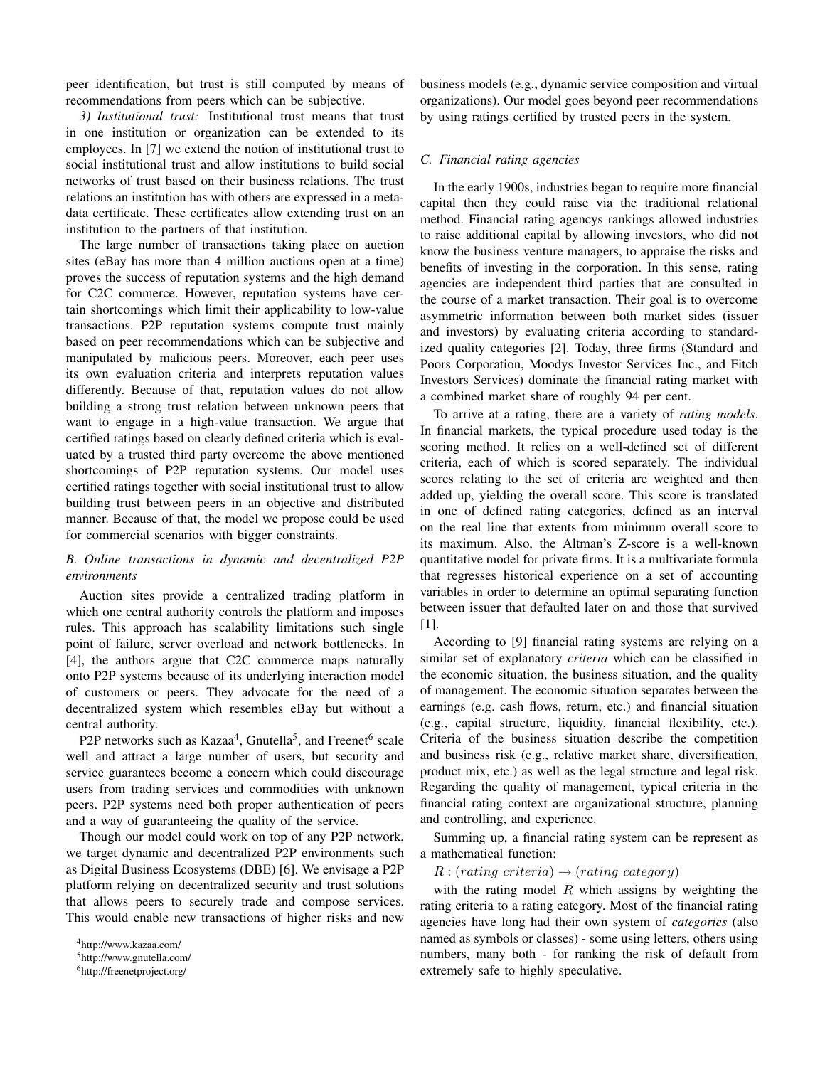peer identification, but trust is still computed by means of recommendations from peers which can be subjective.

*3) Institutional trust:* Institutional trust means that trust in one institution or organization can be extended to its employees. In [7] we extend the notion of institutional trust to social institutional trust and allow institutions to build social networks of trust based on their business relations. The trust relations an institution has with others are expressed in a metadata certificate. These certificates allow extending trust on an institution to the partners of that institution.

The large number of transactions taking place on auction sites (eBay has more than 4 million auctions open at a time) proves the success of reputation systems and the high demand for C2C commerce. However, reputation systems have certain shortcomings which limit their applicability to low-value transactions. P2P reputation systems compute trust mainly based on peer recommendations which can be subjective and manipulated by malicious peers. Moreover, each peer uses its own evaluation criteria and interprets reputation values differently. Because of that, reputation values do not allow building a strong trust relation between unknown peers that want to engage in a high-value transaction. We argue that certified ratings based on clearly defined criteria which is evaluated by a trusted third party overcome the above mentioned shortcomings of P2P reputation systems. Our model uses certified ratings together with social institutional trust to allow building trust between peers in an objective and distributed manner. Because of that, the model we propose could be used for commercial scenarios with bigger constraints.

# *B. Online transactions in dynamic and decentralized P2P environments*

Auction sites provide a centralized trading platform in which one central authority controls the platform and imposes rules. This approach has scalability limitations such single point of failure, server overload and network bottlenecks. In [4], the authors argue that C2C commerce maps naturally onto P2P systems because of its underlying interaction model of customers or peers. They advocate for the need of a decentralized system which resembles eBay but without a central authority.

P2P networks such as Kazaa<sup>4</sup>, Gnutella<sup>5</sup>, and Freenet<sup>6</sup> scale well and attract a large number of users, but security and service guarantees become a concern which could discourage users from trading services and commodities with unknown peers. P2P systems need both proper authentication of peers and a way of guaranteeing the quality of the service.

Though our model could work on top of any P2P network, we target dynamic and decentralized P2P environments such as Digital Business Ecosystems (DBE) [6]. We envisage a P2P platform relying on decentralized security and trust solutions that allows peers to securely trade and compose services. This would enable new transactions of higher risks and new business models (e.g., dynamic service composition and virtual organizations). Our model goes beyond peer recommendations by using ratings certified by trusted peers in the system.

# *C. Financial rating agencies*

In the early 1900s, industries began to require more financial capital then they could raise via the traditional relational method. Financial rating agencys rankings allowed industries to raise additional capital by allowing investors, who did not know the business venture managers, to appraise the risks and benefits of investing in the corporation. In this sense, rating agencies are independent third parties that are consulted in the course of a market transaction. Their goal is to overcome asymmetric information between both market sides (issuer and investors) by evaluating criteria according to standardized quality categories [2]. Today, three firms (Standard and Poors Corporation, Moodys Investor Services Inc., and Fitch Investors Services) dominate the financial rating market with a combined market share of roughly 94 per cent.

To arrive at a rating, there are a variety of *rating models*. In financial markets, the typical procedure used today is the scoring method. It relies on a well-defined set of different criteria, each of which is scored separately. The individual scores relating to the set of criteria are weighted and then added up, yielding the overall score. This score is translated in one of defined rating categories, defined as an interval on the real line that extents from minimum overall score to its maximum. Also, the Altman's Z-score is a well-known quantitative model for private firms. It is a multivariate formula that regresses historical experience on a set of accounting variables in order to determine an optimal separating function between issuer that defaulted later on and those that survived [1].

According to [9] financial rating systems are relying on a similar set of explanatory *criteria* which can be classified in the economic situation, the business situation, and the quality of management. The economic situation separates between the earnings (e.g. cash flows, return, etc.) and financial situation (e.g., capital structure, liquidity, financial flexibility, etc.). Criteria of the business situation describe the competition and business risk (e.g., relative market share, diversification, product mix, etc.) as well as the legal structure and legal risk. Regarding the quality of management, typical criteria in the financial rating context are organizational structure, planning and controlling, and experience.

Summing up, a financial rating system can be represent as a mathematical function:

# $R: (rating\_criterion) \rightarrow (rating\_category)$

with the rating model  $R$  which assigns by weighting the rating criteria to a rating category. Most of the financial rating agencies have long had their own system of *categories* (also named as symbols or classes) - some using letters, others using numbers, many both - for ranking the risk of default from extremely safe to highly speculative.

<sup>4</sup>http://www.kazaa.com/

<sup>5</sup>http://www.gnutella.com/

<sup>6</sup>http://freenetproject.org/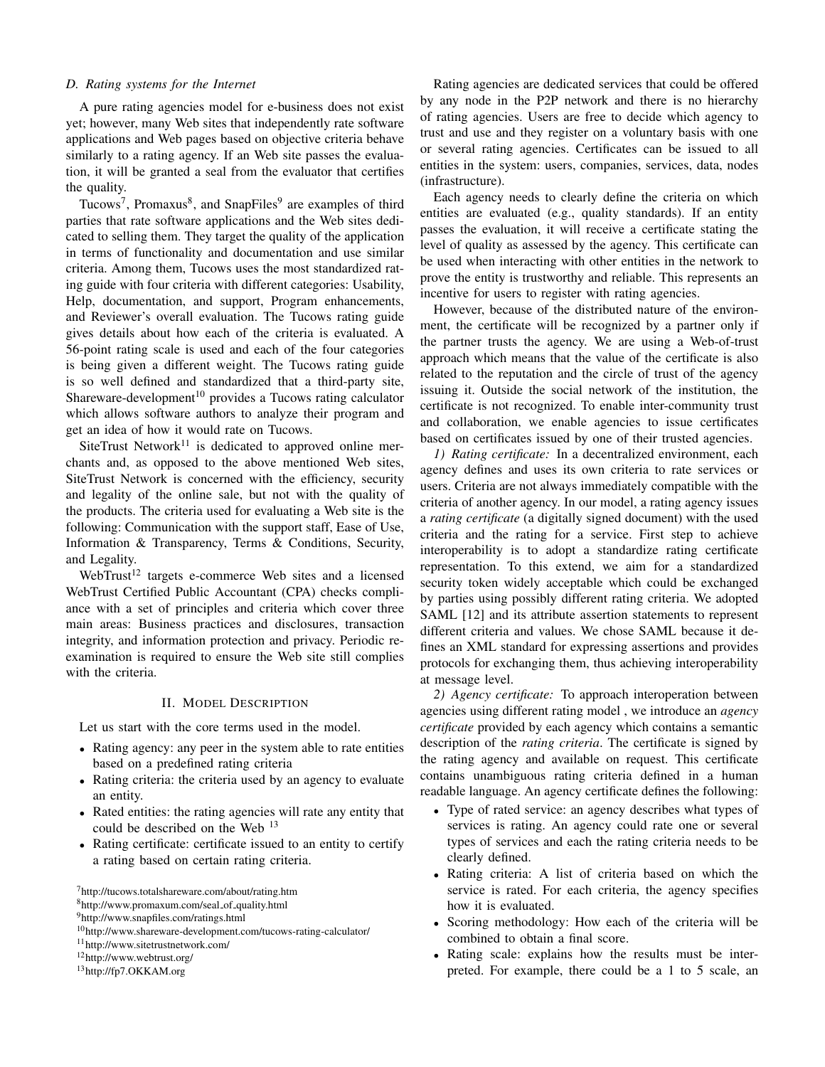#### *D. Rating systems for the Internet*

A pure rating agencies model for e-business does not exist yet; however, many Web sites that independently rate software applications and Web pages based on objective criteria behave similarly to a rating agency. If an Web site passes the evaluation, it will be granted a seal from the evaluator that certifies the quality.

Tucows<sup>7</sup>, Promaxus<sup>8</sup>, and SnapFiles<sup>9</sup> are examples of third parties that rate software applications and the Web sites dedicated to selling them. They target the quality of the application in terms of functionality and documentation and use similar criteria. Among them, Tucows uses the most standardized rating guide with four criteria with different categories: Usability, Help, documentation, and support, Program enhancements, and Reviewer's overall evaluation. The Tucows rating guide gives details about how each of the criteria is evaluated. A 56-point rating scale is used and each of the four categories is being given a different weight. The Tucows rating guide is so well defined and standardized that a third-party site, Shareware-development $10$  provides a Tucows rating calculator which allows software authors to analyze their program and get an idea of how it would rate on Tucows.

SiteTrust Network<sup>11</sup> is dedicated to approved online merchants and, as opposed to the above mentioned Web sites, SiteTrust Network is concerned with the efficiency, security and legality of the online sale, but not with the quality of the products. The criteria used for evaluating a Web site is the following: Communication with the support staff, Ease of Use, Information & Transparency, Terms & Conditions, Security, and Legality.

WebTrust<sup>12</sup> targets e-commerce Web sites and a licensed WebTrust Certified Public Accountant (CPA) checks compliance with a set of principles and criteria which cover three main areas: Business practices and disclosures, transaction integrity, and information protection and privacy. Periodic reexamination is required to ensure the Web site still complies with the criteria.

## II. MODEL DESCRIPTION

Let us start with the core terms used in the model.

- Rating agency: any peer in the system able to rate entities based on a predefined rating criteria
- Rating criteria: the criteria used by an agency to evaluate an entity.
- Rated entities: the rating agencies will rate any entity that could be described on the Web  $^{13}$
- Rating certificate: certificate issued to an entity to certify a rating based on certain rating criteria.

<sup>11</sup>http://www.sitetrustnetwork.com/

Rating agencies are dedicated services that could be offered by any node in the P2P network and there is no hierarchy of rating agencies. Users are free to decide which agency to trust and use and they register on a voluntary basis with one or several rating agencies. Certificates can be issued to all entities in the system: users, companies, services, data, nodes (infrastructure).

Each agency needs to clearly define the criteria on which entities are evaluated (e.g., quality standards). If an entity passes the evaluation, it will receive a certificate stating the level of quality as assessed by the agency. This certificate can be used when interacting with other entities in the network to prove the entity is trustworthy and reliable. This represents an incentive for users to register with rating agencies.

However, because of the distributed nature of the environment, the certificate will be recognized by a partner only if the partner trusts the agency. We are using a Web-of-trust approach which means that the value of the certificate is also related to the reputation and the circle of trust of the agency issuing it. Outside the social network of the institution, the certificate is not recognized. To enable inter-community trust and collaboration, we enable agencies to issue certificates based on certificates issued by one of their trusted agencies.

*1) Rating certificate:* In a decentralized environment, each agency defines and uses its own criteria to rate services or users. Criteria are not always immediately compatible with the criteria of another agency. In our model, a rating agency issues a *rating certificate* (a digitally signed document) with the used criteria and the rating for a service. First step to achieve interoperability is to adopt a standardize rating certificate representation. To this extend, we aim for a standardized security token widely acceptable which could be exchanged by parties using possibly different rating criteria. We adopted SAML [12] and its attribute assertion statements to represent different criteria and values. We chose SAML because it defines an XML standard for expressing assertions and provides protocols for exchanging them, thus achieving interoperability at message level.

*2) Agency certificate:* To approach interoperation between agencies using different rating model , we introduce an *agency certificate* provided by each agency which contains a semantic description of the *rating criteria*. The certificate is signed by the rating agency and available on request. This certificate contains unambiguous rating criteria defined in a human readable language. An agency certificate defines the following:

- Type of rated service: an agency describes what types of services is rating. An agency could rate one or several types of services and each the rating criteria needs to be clearly defined.
- Rating criteria: A list of criteria based on which the service is rated. For each criteria, the agency specifies how it is evaluated.
- Scoring methodology: How each of the criteria will be combined to obtain a final score.
- Rating scale: explains how the results must be interpreted. For example, there could be a 1 to 5 scale, an

<sup>7</sup>http://tucows.totalshareware.com/about/rating.htm

<sup>8</sup>http://www.promaxum.com/seal of quality.html

<sup>9</sup>http://www.snapfiles.com/ratings.html

<sup>10</sup>http://www.shareware-development.com/tucows-rating-calculator/

<sup>12</sup>http://www.webtrust.org/

<sup>13</sup>http://fp7.OKKAM.org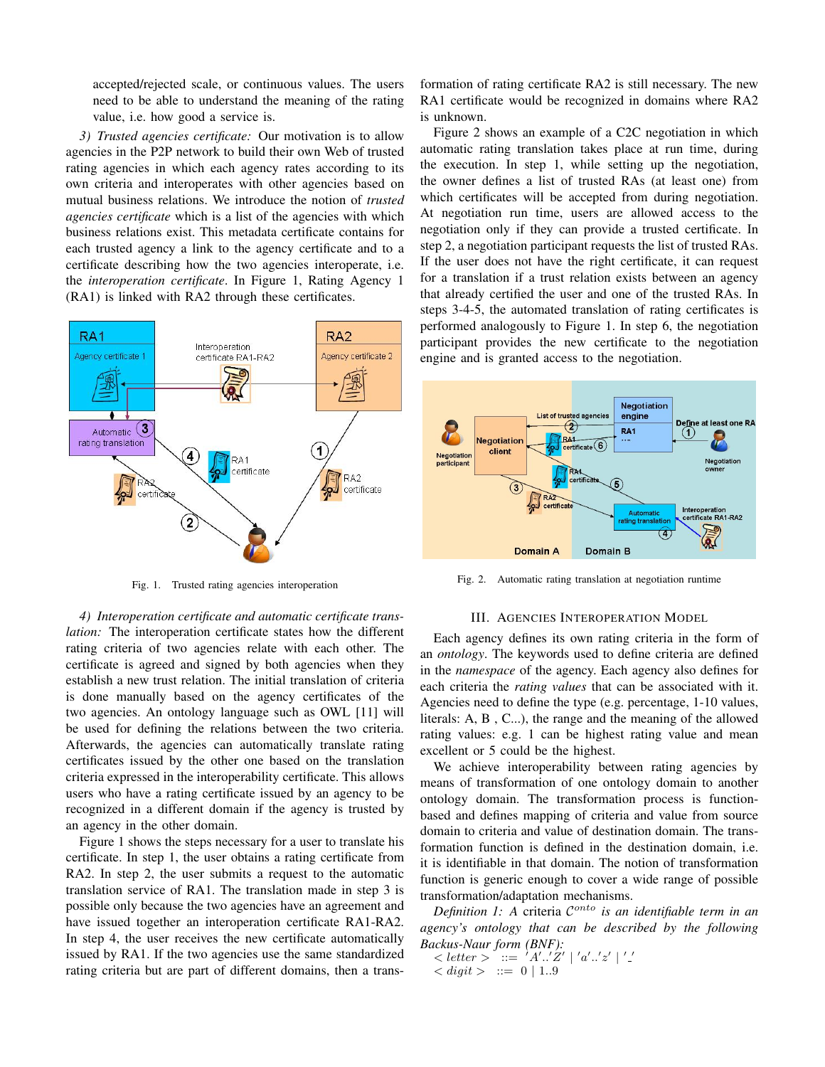accepted/rejected scale, or continuous values. The users need to be able to understand the meaning of the rating value, i.e. how good a service is.

*3) Trusted agencies certificate:* Our motivation is to allow agencies in the P2P network to build their own Web of trusted rating agencies in which each agency rates according to its own criteria and interoperates with other agencies based on mutual business relations. We introduce the notion of *trusted agencies certificate* which is a list of the agencies with which business relations exist. This metadata certificate contains for each trusted agency a link to the agency certificate and to a certificate describing how the two agencies interoperate, i.e. the *interoperation certificate*. In Figure 1, Rating Agency 1 (RA1) is linked with RA2 through these certificates.



Fig. 1. Trusted rating agencies interoperation

*4) Interoperation certificate and automatic certificate translation:* The interoperation certificate states how the different rating criteria of two agencies relate with each other. The certificate is agreed and signed by both agencies when they establish a new trust relation. The initial translation of criteria is done manually based on the agency certificates of the two agencies. An ontology language such as OWL [11] will be used for defining the relations between the two criteria. Afterwards, the agencies can automatically translate rating certificates issued by the other one based on the translation criteria expressed in the interoperability certificate. This allows users who have a rating certificate issued by an agency to be recognized in a different domain if the agency is trusted by an agency in the other domain.

Figure 1 shows the steps necessary for a user to translate his certificate. In step 1, the user obtains a rating certificate from RA2. In step 2, the user submits a request to the automatic translation service of RA1. The translation made in step 3 is possible only because the two agencies have an agreement and have issued together an interoperation certificate RA1-RA2. In step 4, the user receives the new certificate automatically issued by RA1. If the two agencies use the same standardized rating criteria but are part of different domains, then a transformation of rating certificate RA2 is still necessary. The new RA1 certificate would be recognized in domains where RA2 is unknown.

Figure 2 shows an example of a C2C negotiation in which automatic rating translation takes place at run time, during the execution. In step 1, while setting up the negotiation, the owner defines a list of trusted RAs (at least one) from which certificates will be accepted from during negotiation. At negotiation run time, users are allowed access to the negotiation only if they can provide a trusted certificate. In step 2, a negotiation participant requests the list of trusted RAs. If the user does not have the right certificate, it can request for a translation if a trust relation exists between an agency that already certified the user and one of the trusted RAs. In steps 3-4-5, the automated translation of rating certificates is performed analogously to Figure 1. In step 6, the negotiation participant provides the new certificate to the negotiation engine and is granted access to the negotiation.



Fig. 2. Automatic rating translation at negotiation runtime

#### III. AGENCIES INTEROPERATION MODEL

Each agency defines its own rating criteria in the form of an *ontology*. The keywords used to define criteria are defined in the *namespace* of the agency. Each agency also defines for each criteria the *rating values* that can be associated with it. Agencies need to define the type (e.g. percentage, 1-10 values, literals: A, B , C...), the range and the meaning of the allowed rating values: e.g. 1 can be highest rating value and mean excellent or 5 could be the highest.

We achieve interoperability between rating agencies by means of transformation of one ontology domain to another ontology domain. The transformation process is functionbased and defines mapping of criteria and value from source domain to criteria and value of destination domain. The transformation function is defined in the destination domain, i.e. it is identifiable in that domain. The notion of transformation function is generic enough to cover a wide range of possible transformation/adaptation mechanisms.

*Definition 1: A* criteria C onto *is an identifiable term in an agency's ontology that can be described by the following Backus-Naur form (BNF):*

```
\langle letter \rangle ::= \langle A' .. Z' | a' ..' z' |' \rangle\langle \text{digit} \rangle ::= 0 | 1..9
```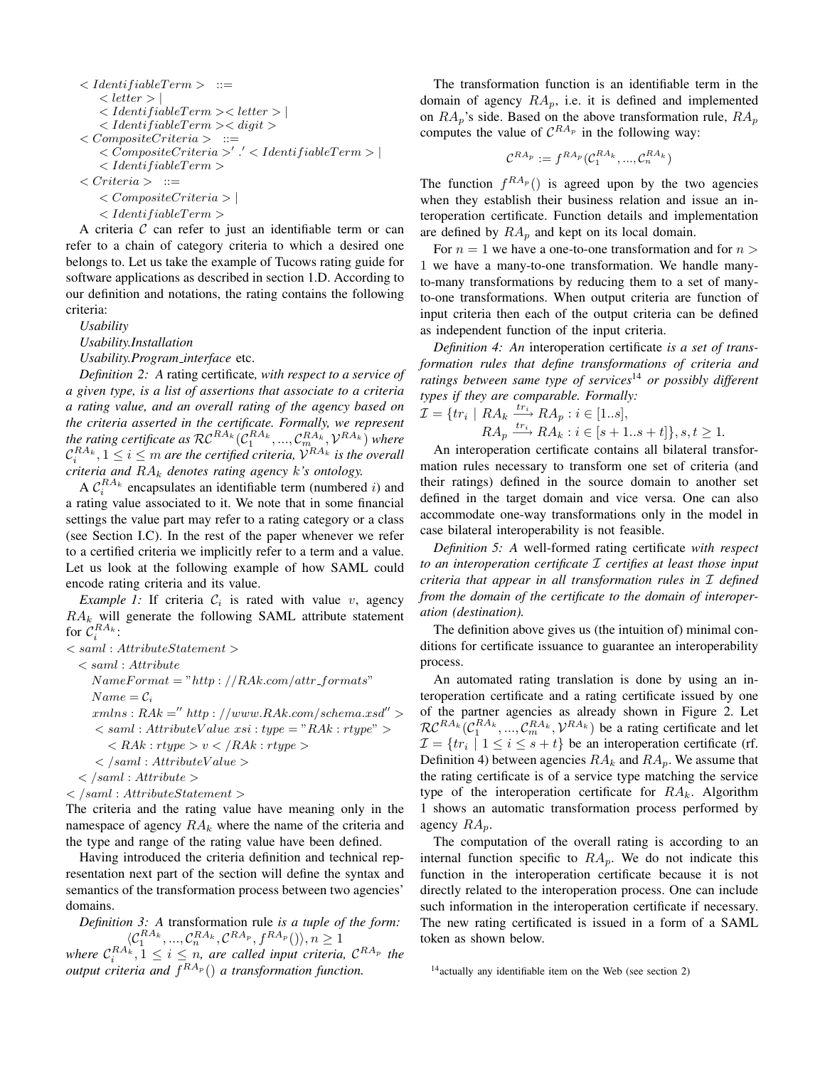```
\langle IdentifiableTerm \rangle ::=
       \langle letter \rangle |
       \langle IdentifiableTerm > \ letter > |
       \langle IdentifiableTerm >\langle digit \rangle\langle CompositeCriteria \rangle ::=
        \langle \textit{ 1} \rangle \langle \textit{ 2} \rangle \langle \textit{ 2} \rangle \langle \textit{ 3} \rangle \langle \textit{ 4} \rangle \langle \textit{ 5} \rangle \langle \textit{ 6} \rangle \langle \textit{ 6} \rangle \langle \textit{ 7} \rangle \langle \textit{ 7} \rangle \langle \textit{ 8} \rangle \langle \textit{ 6} \rangle \langle \textit{ 7} \rangle \langle \textit{ 8} \rangle \langle \textit{ 8} \rangle \langle \textit{ 8} \\langle IdentifiableTerm \rangle\langle Criteria \rangle ::=
       \langle CompositeCriteria \rangle
```
 $\langle$  IdentifiableTerm  $\rangle$ 

A criteria  $C$  can refer to just an identifiable term or can refer to a chain of category criteria to which a desired one belongs to. Let us take the example of Tucows rating guide for software applications as described in section 1.D. According to our definition and notations, the rating contains the following criteria:

*Usability*

*Usability.Installation*

*Usability.Program interface* etc.

*Definition 2: A* rating certificate*, with respect to a service of a given type, is a list of assertions that associate to a criteria a rating value, and an overall rating of the agency based on the criteria asserted in the certificate. Formally, we represent* the rating certificate as  $\mathcal{RC}^{RA_k}(\mathcal{C}_1^{RA_k},...,\mathcal{C}_{m}^{RA_k},\mathcal{V}^{RA_k})$  where  $\mathcal{C}_i^{RA_k}, 1 \leq i \leq m$  are the certified criteria,  $\mathcal{V}^{RA_k}$  is the overall *criteria and*  $RA_k$  *denotes rating agency*  $k$ 's *ontology.* 

A  $C_i^{RA_k}$  encapsulates an identifiable term (numbered i) and a rating value associated to it. We note that in some financial settings the value part may refer to a rating category or a class (see Section I.C). In the rest of the paper whenever we refer to a certified criteria we implicitly refer to a term and a value. Let us look at the following example of how SAML could encode rating criteria and its value.

*Example 1:* If criteria  $C_i$  is rated with value v, agency  $RA_k$  will generate the following SAML attribute statement for  $\mathcal{C}_i^{RA_k}$ :

 $\langle$  saml : AttributeStatement  $>$ 

< saml : Attribute

 $NameFormat = "http://RAk.com/attr-formats"$  $Name = C_i$ 

 $xmlns: RAk ='' http://www.RAk.com/schema.xsd" >$  $\langle \mathcal{L} \rangle$  : AttributeValue xsi : type = "RAk : rtype" >  $<$  RAk : rtype  $> v$   $<$  /RAk : rtype  $>$ 

 $\langle$  /saml : AttributeValue  $>$ 

 $\langle$  /saml : Attribute  $\rangle$ 

 $\langle$  /saml : AttributeStatement  $>$ 

The criteria and the rating value have meaning only in the namespace of agency  $RA_k$  where the name of the criteria and the type and range of the rating value have been defined.

Having introduced the criteria definition and technical representation next part of the section will define the syntax and semantics of the transformation process between two agencies' domains.

*Definition 3: A* transformation rule *is a tuple of the form:*  $\langle C_1^{RA_k},...,C_n^{RA_k},C^{RA_p},f^{RA_p}(\rangle\rangle,n\geq 1$ 

where  $C_i^{RA_k}, 1 \leq i \leq n$ , are called input criteria,  $C_{i}^{RA_p}$  the *output criteria and*  $f^{RA_p}()$  *a transformation function.* 

The transformation function is an identifiable term in the domain of agency  $RA_p$ , i.e. it is defined and implemented on  $RA_p$ 's side. Based on the above transformation rule,  $RA_p$ computes the value of  $C^{RA_p}$  in the following way:

$$
\mathcal{C}^{RA_p} := f^{RA_p}(\mathcal{C}_1^{RA_k}, ..., \mathcal{C}_n^{RA_k})
$$

The function  $f^{RA_p}()$  is agreed upon by the two agencies when they establish their business relation and issue an interoperation certificate. Function details and implementation are defined by  $RA_p$  and kept on its local domain.

For  $n = 1$  we have a one-to-one transformation and for  $n > 1$ 1 we have a many-to-one transformation. We handle manyto-many transformations by reducing them to a set of manyto-one transformations. When output criteria are function of input criteria then each of the output criteria can be defined as independent function of the input criteria.

*Definition 4: An* interoperation certificate *is a set of transformation rules that define transformations of criteria and ratings between same type of services*<sup>14</sup> *or possibly different types if they are comparable. Formally:*

$$
\mathcal{I} = \{ tr_i \mid RA_k \xrightarrow{tr_i} RA_p : i \in [1..s],
$$

 $RA_p \xrightarrow{tr_i} RA_k : i \in [s + 1..s + t] \}, s, t \geq 1.$ 

An interoperation certificate contains all bilateral transformation rules necessary to transform one set of criteria (and their ratings) defined in the source domain to another set defined in the target domain and vice versa. One can also accommodate one-way transformations only in the model in case bilateral interoperability is not feasible.

*Definition 5: A* well-formed rating certificate *with respect to an interoperation certificate* I *certifies at least those input criteria that appear in all transformation rules in* I *defined from the domain of the certificate to the domain of interoperation (destination).*

The definition above gives us (the intuition of) minimal conditions for certificate issuance to guarantee an interoperability process.

An automated rating translation is done by using an interoperation certificate and a rating certificate issued by one of the partner agencies as already shown in Figure 2. Let  $RC^{RA_k}(C_1^{RA_k},...,C_m^{RA_k},V^{RA_k})$  be a rating certificate and let  $\mathcal{I} = \{tr_i \mid 1 \leq i \leq s+t\}$  be an interoperation certificate (rf. Definition 4) between agencies  $RA_k$  and  $RA_p$ . We assume that the rating certificate is of a service type matching the service type of the interoperation certificate for  $RA_k$ . Algorithm 1 shows an automatic transformation process performed by agency  $RA_n$ .

The computation of the overall rating is according to an internal function specific to  $RA_p$ . We do not indicate this function in the interoperation certificate because it is not directly related to the interoperation process. One can include such information in the interoperation certificate if necessary. The new rating certificated is issued in a form of a SAML token as shown below.

 $14$ actually any identifiable item on the Web (see section 2)